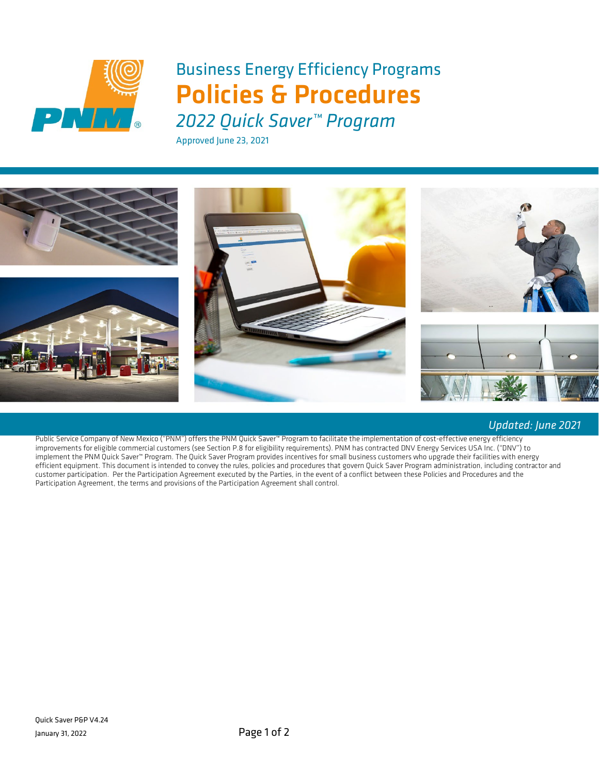

# Business Energy Efficiency Programs Policies & Procedures

*2022 Quick Saver™ Program*

Approved June 23, 2021



#### *Updated: June 2021*

Public Service Company of New Mexico ("PNM") offers the PNM Quick Saver™ Program to facilitate the implementation of cost-effective energy efficiency improvements for eligible commercial customers (see Section P.8 for eligibility requirements). PNM has contracted DNV Energy Services USA Inc. ("DNV") to implement the PNM Quick Saver™ Program. The Quick Saver Program provides incentives for small business customers who upgrade their facilities with energy efficient equipment. This document is intended to convey the rules, policies and procedures that govern Quick Saver Program administration, including contractor and customer participation. Per the Participation Agreement executed by the Parties, in the event of a conflict between these Policies and Procedures and the Participation Agreement, the terms and provisions of the Participation Agreement shall control.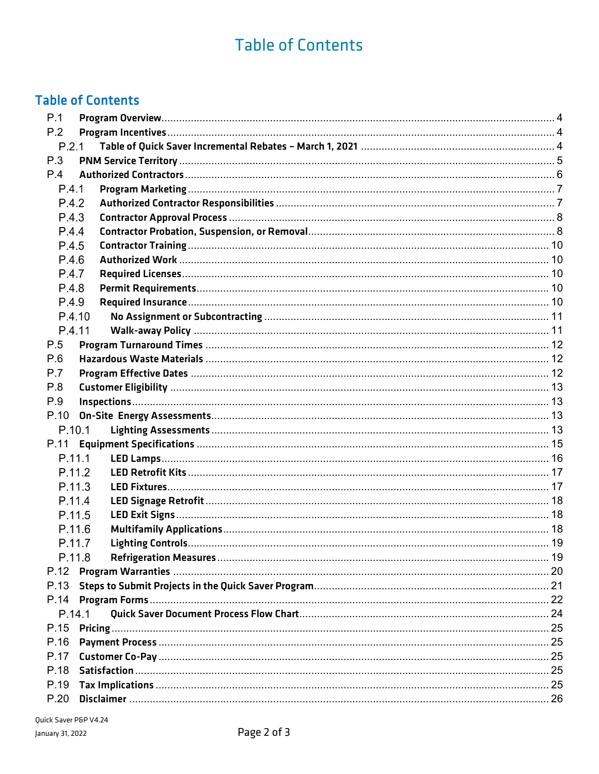## **Table of Contents**

## **Table of Contents**

| P.1   |        |  |
|-------|--------|--|
| P.2   |        |  |
|       | P.2.1  |  |
| P.3   |        |  |
| P.4   |        |  |
| P.4.1 |        |  |
| P.4.2 |        |  |
| P.4.3 |        |  |
| P.4.4 |        |  |
| P.4.5 |        |  |
| P.4.6 |        |  |
| P.4.7 |        |  |
| P.4.8 |        |  |
| P.4.9 |        |  |
|       | P.4.10 |  |
|       | P.4.11 |  |
| P.5   |        |  |
| P.6   |        |  |
| P.7   |        |  |
| P.8   |        |  |
| P.9   |        |  |
| P.10  |        |  |
|       | P.10.1 |  |
| P.11  |        |  |
|       | P.11.1 |  |
|       | P.11.2 |  |
|       | P.11.3 |  |
|       | P.11.4 |  |
|       | P.11.5 |  |
|       | P.11.6 |  |
|       | P.11.7 |  |
|       | P.11.8 |  |
|       |        |  |
| P.13  |        |  |
| P.14  |        |  |
|       | P.14.1 |  |
| P.15  |        |  |
| P.16  |        |  |
| P.17  |        |  |
| P.18  |        |  |
| P.19  |        |  |
| P.20  |        |  |
|       |        |  |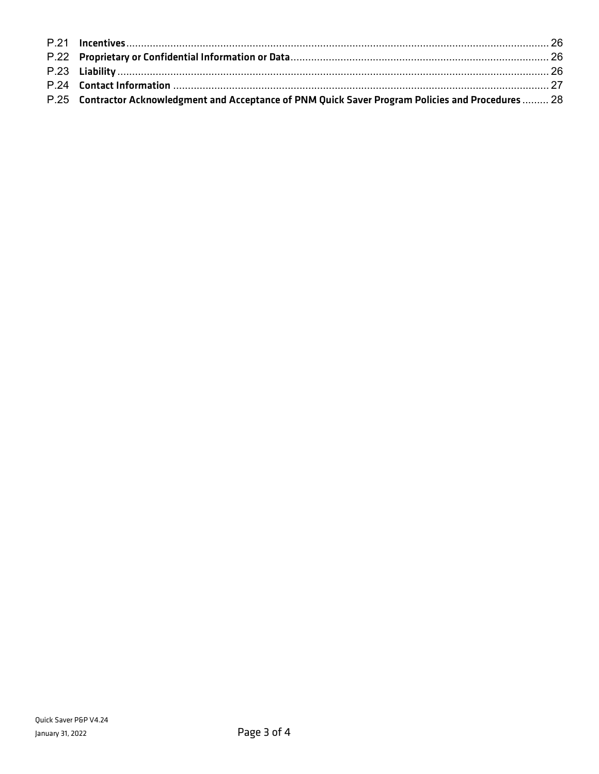| P.25 Contractor Acknowledgment and Acceptance of PNM Quick Saver Program Policies and Procedures  28 |  |
|------------------------------------------------------------------------------------------------------|--|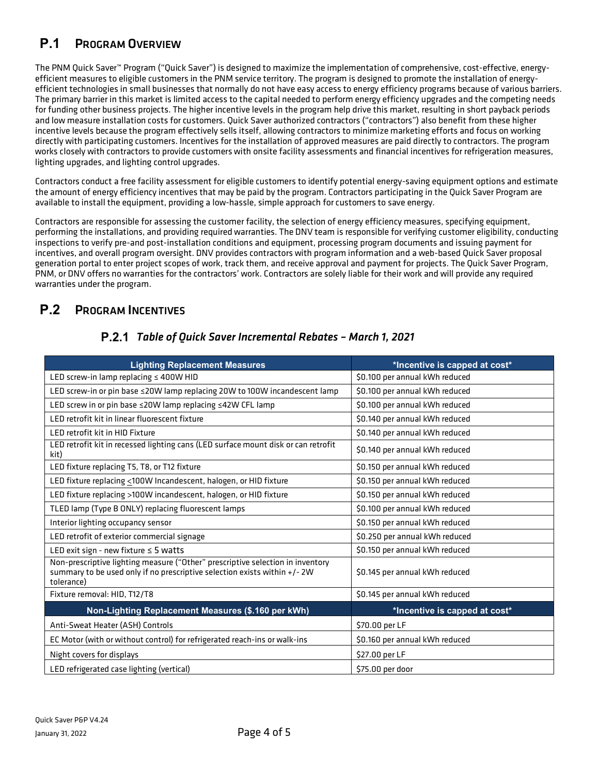## <span id="page-3-0"></span>**P.1** PROGRAM OVERVIEW

The PNM Quick Saver™ Program ("Quick Saver") is designed to maximize the implementation of comprehensive, cost-effective, energyefficient measures to eligible customers in the PNM service territory. The program is designed to promote the installation of energyefficient technologies in small businesses that normally do not have easy access to energy efficiency programs because of various barriers. The primary barrier in this market is limited access to the capital needed to perform energy efficiency upgrades and the competing needs for funding other business projects. The higher incentive levels in the program help drive this market, resulting in short payback periods and low measure installation costs for customers. Quick Saver authorized contractors ("contractors") also benefit from these higher incentive levels because the program effectively sells itself, allowing contractors to minimize marketing efforts and focus on working directly with participating customers. Incentives for the installation of approved measures are paid directly to contractors. The program works closely with contractors to provide customers with onsite facility assessments and financial incentives for refrigeration measures, lighting upgrades, and lighting control upgrades.

Contractors conduct a free facility assessment for eligible customers to identify potential energy-saving equipment options and estimate the amount of energy efficiency incentives that may be paid by the program. Contractors participating in the Quick Saver Program are available to install the equipment, providing a low-hassle, simple approach for customers to save energy.

Contractors are responsible for assessing the customer facility, the selection of energy efficiency measures, specifying equipment, performing the installations, and providing required warranties. The DNV team is responsible for verifying customer eligibility, conducting inspections to verify pre-and post-installation conditions and equipment, processing program documents and issuing payment for incentives, and overall program oversight. DNV provides contractors with program information and a web-based Quick Saver proposal generation portal to enter project scopes of work, track them, and receive approval and payment for projects. The Quick Saver Program, PNM, or DNV offers no warranties for the contractors' work. Contractors are solely liable for their work and will provide any required warranties under the program.

## <span id="page-3-2"></span><span id="page-3-1"></span>**P.2** PROGRAM INCENTIVES

| <b>Lighting Replacement Measures</b>                                                                                                                                      | *Incentive is capped at cost*  |  |  |
|---------------------------------------------------------------------------------------------------------------------------------------------------------------------------|--------------------------------|--|--|
| LED screw-in lamp replacing $\leq$ 400W HID                                                                                                                               | \$0.100 per annual kWh reduced |  |  |
| LED screw-in or pin base ≤20W lamp replacing 20W to 100W incandescent lamp                                                                                                | \$0.100 per annual kWh reduced |  |  |
| LED screw in or pin base ≤20W lamp replacing ≤42W CFL lamp                                                                                                                | \$0.100 per annual kWh reduced |  |  |
| LED retrofit kit in linear fluorescent fixture                                                                                                                            | \$0.140 per annual kWh reduced |  |  |
| LED retrofit kit in HID Fixture                                                                                                                                           | \$0.140 per annual kWh reduced |  |  |
| LED retrofit kit in recessed lighting cans (LED surface mount disk or can retrofit<br>kit)                                                                                | \$0.140 per annual kWh reduced |  |  |
| LED fixture replacing T5, T8, or T12 fixture                                                                                                                              | \$0.150 per annual kWh reduced |  |  |
| LED fixture replacing <100W Incandescent, halogen, or HID fixture                                                                                                         | \$0.150 per annual kWh reduced |  |  |
| LED fixture replacing >100W incandescent, halogen, or HID fixture                                                                                                         | \$0.150 per annual kWh reduced |  |  |
| TLED lamp (Type B ONLY) replacing fluorescent lamps                                                                                                                       | \$0.100 per annual kWh reduced |  |  |
| Interior lighting occupancy sensor                                                                                                                                        | \$0.150 per annual kWh reduced |  |  |
| LED retrofit of exterior commercial signage                                                                                                                               | \$0.250 per annual kWh reduced |  |  |
| LED exit sign - new fixture $\leq$ 5 watts                                                                                                                                | \$0.150 per annual kWh reduced |  |  |
| Non-prescriptive lighting measure ("Other" prescriptive selection in inventory<br>summary to be used only if no prescriptive selection exists within +/- 2W<br>tolerance) | \$0.145 per annual kWh reduced |  |  |
| Fixture removal: HID, T12/T8                                                                                                                                              | \$0.145 per annual kWh reduced |  |  |
| Non-Lighting Replacement Measures (\$.160 per kWh)                                                                                                                        | *Incentive is capped at cost*  |  |  |
| Anti-Sweat Heater (ASH) Controls                                                                                                                                          | \$70.00 per LF                 |  |  |
| EC Motor (with or without control) for refrigerated reach-ins or walk-ins                                                                                                 | \$0.160 per annual kWh reduced |  |  |
| Night covers for displays<br>\$27.00 per LF                                                                                                                               |                                |  |  |
| LED refrigerated case lighting (vertical)                                                                                                                                 | \$75.00 per door               |  |  |

### *Table of Quick Saver Incremental Rebates – March 1, 2021*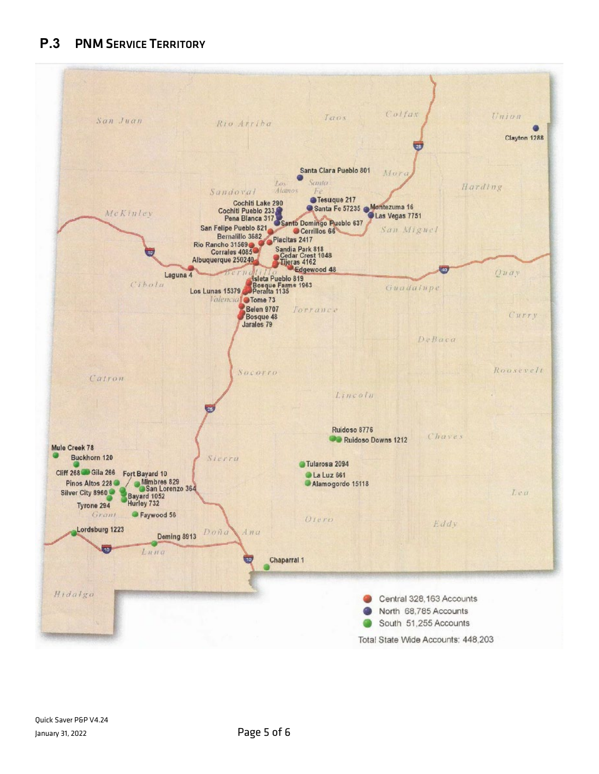<span id="page-4-0"></span>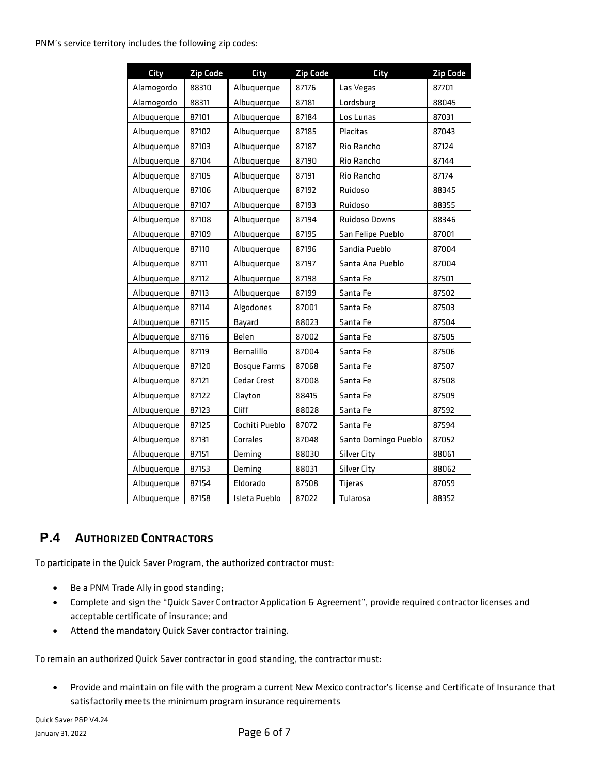| City        | <b>Zip Code</b> | City                | <b>Zip Code</b> | <b>City</b>          | <b>Zip Code</b> |
|-------------|-----------------|---------------------|-----------------|----------------------|-----------------|
| Alamogordo  | 88310           | Albuquerque         | 87176           | Las Vegas            | 87701           |
| Alamogordo  | 88311           | Albuquerque         | 87181           | Lordsburg            | 88045           |
| Albuquerque | 87101           | Albuquerque         | 87184           | Los Lunas            | 87031           |
| Albuquerque | 87102           | Albuquerque         | 87185           | Placitas             | 87043           |
| Albuquerque | 87103           | Albuquerque         | 87187           | Rio Rancho           | 87124           |
| Albuquerque | 87104           | Albuquerque         | 87190           | Rio Rancho           | 87144           |
| Albuquerque | 87105           | Albuquerque         | 87191           | Rio Rancho           | 87174           |
| Albuquerque | 87106           | Albuquerque         | 87192           | Ruidoso              | 88345           |
| Albuquerque | 87107           | Albuquerque         | 87193           | Ruidoso              | 88355           |
| Albuquerque | 87108           | Albuquerque         | 87194           | <b>Ruidoso Downs</b> | 88346           |
| Albuquerque | 87109           | Albuquerque         | 87195           | San Felipe Pueblo    | 87001           |
| Albuquerque | 87110           | Albuquerque         | 87196           | Sandia Pueblo        | 87004           |
| Albuquerque | 87111           | Albuquerque         | 87197           | Santa Ana Pueblo     | 87004           |
| Albuquerque | 87112           | Albuquerque         | 87198           | Santa Fe             | 87501           |
| Albuquerque | 87113           | Albuquerque         | 87199           | Santa Fe             | 87502           |
| Albuquerque | 87114           | Algodones           | 87001           | Santa Fe             | 87503           |
| Albuquerque | 87115           | Bayard              | 88023           | Santa Fe             | 87504           |
| Albuquerque | 87116           | Belen               | 87002           | Santa Fe             | 87505           |
| Albuquerque | 87119           | Bernalillo          | 87004           | Santa Fe             | 87506           |
| Albuquerque | 87120           | <b>Bosque Farms</b> | 87068           | Santa Fe             | 87507           |
| Albuquerque | 87121           | <b>Cedar Crest</b>  | 87008           | Santa Fe             | 87508           |
| Albuquerque | 87122           | Clayton             | 88415           | Santa Fe             | 87509           |
| Albuquerque | 87123           | Cliff               | 88028           | Santa Fe             | 87592           |
| Albuquerque | 87125           | Cochiti Pueblo      | 87072           | Santa Fe             | 87594           |
| Albuquerque | 87131           | Corrales            | 87048           | Santo Domingo Pueblo | 87052           |
| Albuquerque | 87151           | Deming              | 88030           | <b>Silver City</b>   | 88061           |
| Albuquerque | 87153           | Deming              | 88031           | <b>Silver City</b>   | 88062           |
| Albuquerque | 87154           | Eldorado            | 87508           | Tijeras              | 87059           |
| Albuquerque | 87158           | Isleta Pueblo       | 87022           | Tularosa             | 88352           |

## <span id="page-5-0"></span>**P.4** AUTHORIZED CONTRACTORS

To participate in the Quick Saver Program, the authorized contractor must:

- Be a PNM Trade Ally in good standing;
- Complete and sign the "Quick Saver Contractor Application & Agreement", provide required contractor licenses and acceptable certificate of insurance; and
- Attend the mandatory Quick Saver contractor training.

To remain an authorized Quick Saver contractor in good standing, the contractor must:

• Provide and maintain on file with the program a current New Mexico contractor's license and Certificate of Insurance that satisfactorily meets the minimum program insurance requirements

Quick Saver P&P V4.24 January 31, 2022 **Page 6 of 7**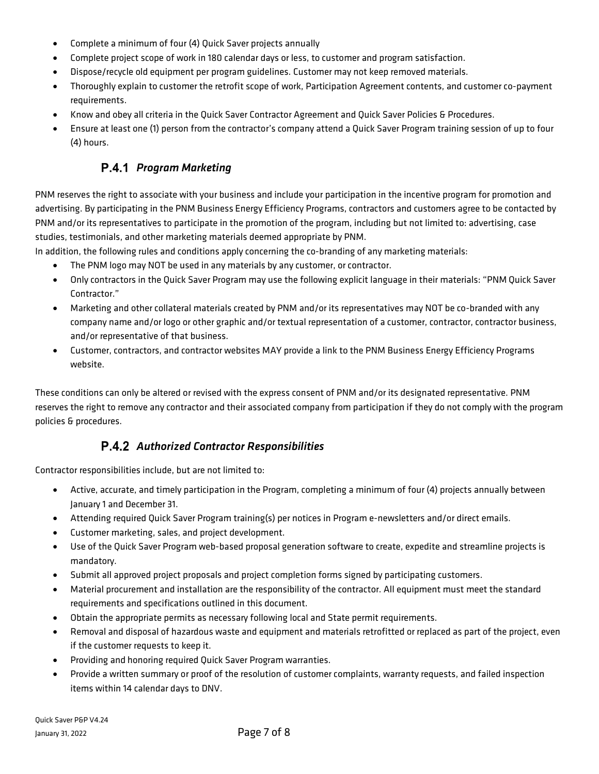- Complete a minimum of four (4) Quick Saver projects annually
- Complete project scope of work in 180 calendar days or less, to customer and program satisfaction.
- Dispose/recycle old equipment per program guidelines. Customer may not keep removed materials.
- Thoroughly explain to customer the retrofit scope of work, Participation Agreement contents, and customer co-payment requirements.
- Know and obey all criteria in the Quick Saver Contractor Agreement and Quick Saver Policies & Procedures.
- <span id="page-6-0"></span>• Ensure at least one (1) person from the contractor's company attend a Quick Saver Program training session of up to four (4) hours.

### **P.4.1 Program Marketing**

PNM reserves the right to associate with your business and include your participation in the incentive program for promotion and advertising. By participating in the PNM Business Energy Efficiency Programs, contractors and customers agree to be contacted by PNM and/or its representatives to participate in the promotion of the program, including but not limited to: advertising, case studies, testimonials, and other marketing materials deemed appropriate by PNM.

In addition, the following rules and conditions apply concerning the co-branding of any marketing materials:

- The PNM logo may NOT be used in any materials by any customer, or contractor.
- Only contractors in the Quick Saver Program may use the following explicit language in their materials: "PNM Quick Saver Contractor."
- Marketing and other collateral materials created by PNM and/or its representatives may NOT be co-branded with any company name and/or logo or other graphic and/or textual representation of a customer, contractor, contractor business, and/or representative of that business.
- Customer, contractors, and contractor websites MAY provide a link to the PNM Business Energy Efficiency Programs website.

These conditions can only be altered or revised with the express consent of PNM and/or its designated representative. PNM reserves the right to remove any contractor and their associated company from participation if they do not comply with the program policies & procedures.

### *Authorized Contractor Responsibilities*

<span id="page-6-1"></span>Contractor responsibilities include, but are not limited to:

- Active, accurate, and timely participation in the Program, completing a minimum of four (4) projects annually between January 1 and December 31.
- Attending required Quick Saver Program training(s) per notices in Program e-newsletters and/or direct emails.
- Customer marketing, sales, and project development.
- Use of the Quick Saver Program web-based proposal generation software to create, expedite and streamline projects is mandatory.
- Submit all approved project proposals and project completion forms signed by participating customers.
- Material procurement and installation are the responsibility of the contractor. All equipment must meet the standard requirements and specifications outlined in this document.
- Obtain the appropriate permits as necessary following local and State permit requirements.
- Removal and disposal of hazardous waste and equipment and materials retrofitted or replaced as part of the project, even if the customer requests to keep it.
- Providing and honoring required Quick Saver Program warranties.
- Provide a written summary or proof of the resolution of customer complaints, warranty requests, and failed inspection items within 14 calendar days to DNV.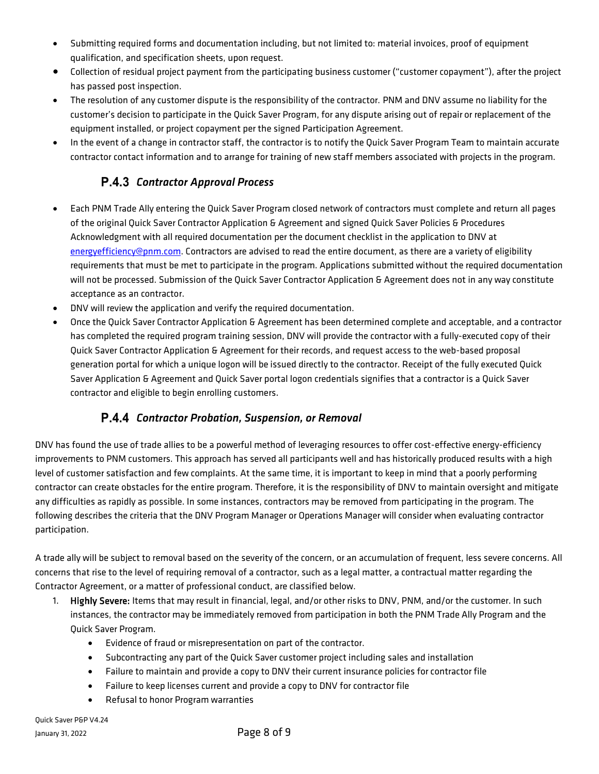- Submitting required forms and documentation including, but not limited to: material invoices, proof of equipment qualification, and specification sheets, upon request.
- Collection of residual project payment from the participating business customer ("customer copayment"), after the project has passed post inspection.
- The resolution of any customer dispute is the responsibility of the contractor. PNM and DNV assume no liability for the customer's decision to participate in the Quick Saver Program, for any dispute arising out of repair or replacement of the equipment installed, or project copayment per the signed Participation Agreement.
- <span id="page-7-0"></span>• In the event of a change in contractor staff, the contractor is to notify the Quick Saver Program Team to maintain accurate contractor contact information and to arrange for training of new staff members associated with projects in the program.

## *Contractor Approval Process*

- Each PNM Trade Ally entering the Quick Saver Program closed network of contractors must complete and return all pages of the original Quick Saver Contractor Application & Agreement and signed Quick Saver Policies & Procedures Acknowledgment with all required documentation per the document checklist in the application to DNV at [energyefficiency@pnm.com.](mailto:energyefficiency@pnm.com) Contractors are advised to read the entire document, as there are a variety of eligibility requirements that must be met to participate in the program. Applications submitted without the required documentation will not be processed. Submission of the Quick Saver Contractor Application & Agreement does not in any way constitute acceptance as an contractor.
- DNV will review the application and verify the required documentation.
- Once the Quick Saver Contractor Application & Agreement has been determined complete and acceptable, and a contractor has completed the required program training session, DNV will provide the contractor with a fully-executed copy of their Quick Saver Contractor Application & Agreement for their records, and request access to the web-based proposal generation portal for which a unique logon will be issued directly to the contractor. Receipt of the fully executed Quick Saver Application & Agreement and Quick Saver portal logon credentials signifies that a contractor is a Quick Saver contractor and eligible to begin enrolling customers.

### *Contractor Probation, Suspension, or Removal*

<span id="page-7-1"></span>DNV has found the use of trade allies to be a powerful method of leveraging resources to offer cost-effective energy-efficiency improvements to PNM customers. This approach has served all participants well and has historically produced results with a high level of customer satisfaction and few complaints. At the same time, it is important to keep in mind that a poorly performing contractor can create obstacles for the entire program. Therefore, it is the responsibility of DNV to maintain oversight and mitigate any difficulties as rapidly as possible. In some instances, contractors may be removed from participating in the program. The following describes the criteria that the DNV Program Manager or Operations Manager will consider when evaluating contractor participation.

A trade ally will be subject to removal based on the severity of the concern, or an accumulation of frequent, less severe concerns. All concerns that rise to the level of requiring removal of a contractor, such as a legal matter, a contractual matter regarding the Contractor Agreement, or a matter of professional conduct, are classified below.

- 1. Highly Severe: Items that may result in financial, legal, and/or other risks to DNV, PNM, and/or the customer. In such instances, the contractor may be immediately removed from participation in both the PNM Trade Ally Program and the Quick Saver Program.
	- Evidence of fraud or misrepresentation on part of the contractor.
	- Subcontracting any part of the Quick Saver customer project including sales and installation
	- Failure to maintain and provide a copy to DNV their current insurance policies for contractor file
	- Failure to keep licenses current and provide a copy to DNV for contractor file
	- Refusal to honor Program warranties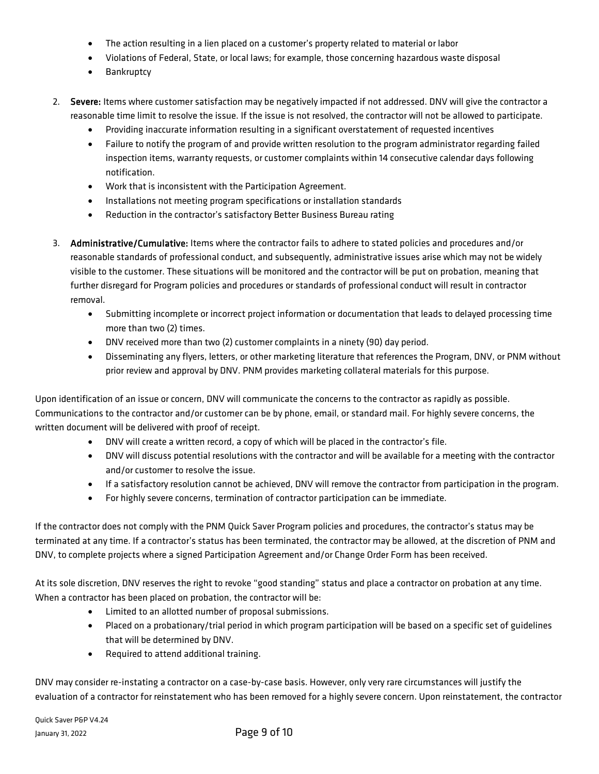- The action resulting in a lien placed on a customer's property related to material or labor
- Violations of Federal, State, or local laws; for example, those concerning hazardous waste disposal
- Bankruptcy
- 2. Severe: Items where customer satisfaction may be negatively impacted if not addressed. DNV will give the contractor a reasonable time limit to resolve the issue. If the issue is not resolved, the contractor will not be allowed to participate.
	- Providing inaccurate information resulting in a significant overstatement of requested incentives
	- Failure to notify the program of and provide written resolution to the program administrator regarding failed inspection items, warranty requests, or customer complaints within 14 consecutive calendar days following notification.
	- Work that is inconsistent with the Participation Agreement.
	- Installations not meeting program specifications or installation standards
	- Reduction in the contractor's satisfactory Better Business Bureau rating
- 3. Administrative/Cumulative: Items where the contractor fails to adhere to stated policies and procedures and/or reasonable standards of professional conduct, and subsequently, administrative issues arise which may not be widely visible to the customer. These situations will be monitored and the contractor will be put on probation, meaning that further disregard for Program policies and procedures or standards of professional conduct will result in contractor removal.
	- Submitting incomplete or incorrect project information or documentation that leads to delayed processing time more than two (2) times.
	- DNV received more than two (2) customer complaints in a ninety (90) day period.
	- Disseminating any flyers, letters, or other marketing literature that references the Program, DNV, or PNM without prior review and approval by DNV. PNM provides marketing collateral materials for this purpose.

Upon identification of an issue or concern, DNV will communicate the concerns to the contractor as rapidly as possible. Communications to the contractor and/or customer can be by phone, email, or standard mail. For highly severe concerns, the written document will be delivered with proof of receipt.

- DNV will create a written record, a copy of which will be placed in the contractor's file.
- DNV will discuss potential resolutions with the contractor and will be available for a meeting with the contractor and/or customer to resolve the issue.
- If a satisfactory resolution cannot be achieved, DNV will remove the contractor from participation in the program.
- For highly severe concerns, termination of contractor participation can be immediate.

If the contractor does not comply with the PNM Quick Saver Program policies and procedures, the contractor's status may be terminated at any time. If a contractor's status has been terminated, the contractor may be allowed, at the discretion of PNM and DNV, to complete projects where a signed Participation Agreement and/or Change Order Form has been received.

At its sole discretion, DNV reserves the right to revoke "good standing" status and place a contractor on probation at any time. When a contractor has been placed on probation, the contractor will be:

- Limited to an allotted number of proposal submissions.
- Placed on a probationary/trial period in which program participation will be based on a specific set of guidelines that will be determined by DNV.
- Required to attend additional training.

DNV may consider re-instating a contractor on a case-by-case basis. However, only very rare circumstances will justify the evaluation of a contractor for reinstatement who has been removed for a highly severe concern. Upon reinstatement, the contractor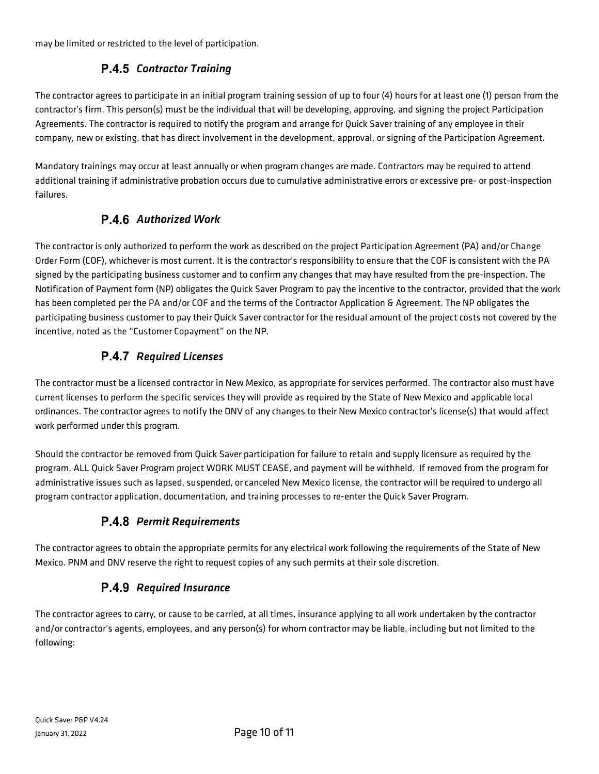<span id="page-9-0"></span>may be limited or restricted to the level of participation.

## *Contractor Training*

The contractor agrees to participate in an initial program training session of up to four (4) hours for at least one (1) person from the contractor's firm. This person(s) must be the individual that will be developing, approving, and signing the project Participation Agreements. The contractor is required to notify the program and arrange for Quick Saver training of any employee in their company, new or existing, that has direct involvement in the development, approval, or signing of the Participation Agreement.

<span id="page-9-1"></span>Mandatory trainings may occur at least annually or when program changes are made. Contractors may be required to attend additional training if administrative probation occurs due to cumulative administrative errors or excessive pre- or post-inspection failures.

## *Authorized Work*

The contractor is only authorized to perform the work as described on the project Participation Agreement (PA) and/or Change Order Form (COF), whichever is most current. It is the contractor's responsibility to ensure that the COF is consistent with the PA signed by the participating business customer and to confirm any changes that may have resulted from the pre-inspection. The Notification of Payment form (NP) obligates the Quick Saver Program to pay the incentive to the contractor, provided that the work has been completed per the PA and/or COF and the terms of the Contractor Application & Agreement. The NP obligates the participating business customer to pay their Quick Saver contractor for the residual amount of the project costs not covered by the incentive, noted as the "Customer Copayment" on the NP.

### *Required Licenses*

<span id="page-9-2"></span>The contractor must be a licensed contractor in New Mexico, as appropriate for services performed. The contractor also must have current licenses to perform the specific services they will provide as required by the State of New Mexico and applicable local ordinances. The contractor agrees to notify the DNV of any changes to their New Mexico contractor's license(s) that would affect work performed under this program.

Should the contractor be removed from Quick Saver participation for failure to retain and supply licensure as required by the program, ALL Quick Saver Program project WORK MUST CEASE, and payment will be withheld. If removed from the program for administrative issues such as lapsed, suspended, or canceled New Mexico license, the contractor will be required to undergo all program contractor application, documentation, and training processes to re-enter the Quick Saver Program.

## **P.4.8 Permit Requirements**

<span id="page-9-4"></span><span id="page-9-3"></span>The contractor agrees to obtain the appropriate permits for any electrical work following the requirements of the State of New Mexico. PNM and DNV reserve the right to request copies of any such permits at their sole discretion.

## *Required Insurance*

The contractor agrees to carry, or cause to be carried, at all times, insurance applying to all work undertaken by the contractor and/or contractor's agents, employees, and any person(s) for whom contractor may be liable, including but not limited to the following: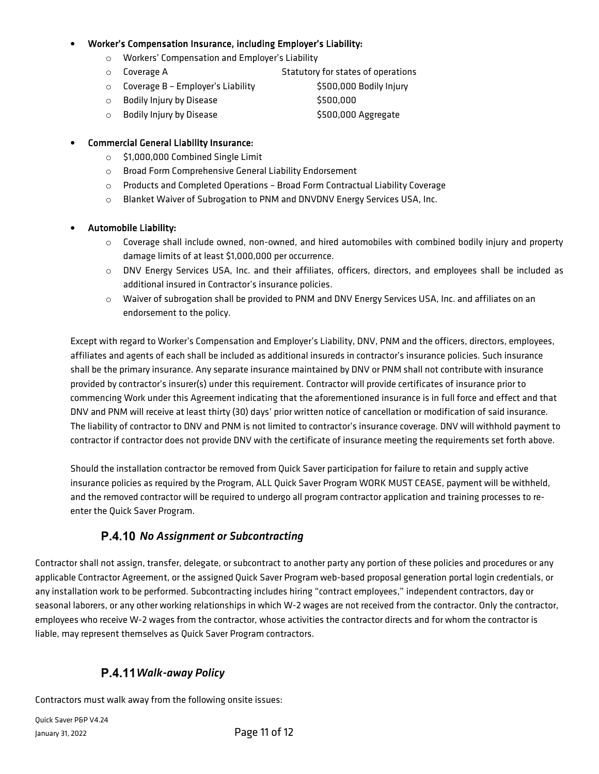#### • Worker's Compensation Insurance, including Employer's Liability:

- o Workers' Compensation and Employer's Liability
- o Coverage A Statutory for states of operations
- o Coverage B Employer's Liability **\$500,000 Bodily Injury**
- o Bodily Injury by Disease \$500,000
- o Bodily Injury by Disease \$500,000 Aggregate

#### • Commercial General Liability Insurance:

- o \$1,000,000 Combined Single Limit
- o Broad Form Comprehensive General Liability Endorsement
- o Products and Completed Operations Broad Form Contractual Liability Coverage
- o Blanket Waiver of Subrogation to PNM and DNVDNV Energy Services USA, Inc.

#### • Automobile Liability:

- $\circ$  Coverage shall include owned, non-owned, and hired automobiles with combined bodily injury and property damage limits of at least \$1,000,000 per occurrence.
- o DNV Energy Services USA, Inc. and their affiliates, officers, directors, and employees shall be included as additional insured in Contractor's insurance policies.
- o Waiver of subrogation shall be provided to PNM and DNV Energy Services USA, Inc. and affiliates on an endorsement to the policy.

Except with regard to Worker's Compensation and Employer's Liability, DNV, PNM and the officers, directors, employees, affiliates and agents of each shall be included as additional insureds in contractor's insurance policies. Such insurance shall be the primary insurance. Any separate insurance maintained by DNV or PNM shall not contribute with insurance provided by contractor's insurer(s) under this requirement. Contractor will provide certificates of insurance prior to commencing Work under this Agreement indicating that the aforementioned insurance is in full force and effect and that DNV and PNM will receive at least thirty (30) days' prior written notice of cancellation or modification of said insurance. The liability of contractor to DNV and PNM is not limited to contractor's insurance coverage. DNV will withhold payment to contractor if contractor does not provide DNV with the certificate of insurance meeting the requirements set forth above.

Should the installation contractor be removed from Quick Saver participation for failure to retain and supply active insurance policies as required by the Program, ALL Quick Saver Program WORK MUST CEASE, payment will be withheld, and the removed contractor will be required to undergo all program contractor application and training processes to reenter the Quick Saver Program.

### <span id="page-10-0"></span>*No Assignment or Subcontracting*

Contractor shall not assign, transfer, delegate, or subcontract to another party any portion of these policies and procedures or any applicable Contractor Agreement, or the assigned Quick Saver Program web-based proposal generation portal login credentials, or any installation work to be performed. Subcontracting includes hiring "contract employees," independent contractors, day or seasonal laborers, or any other working relationships in which W-2 wages are not received from the contractor. Only the contractor, employees who receive W-2 wages from the contractor, whose activities the contractor directs and for whom the contractor is liable, may represent themselves as Quick Saver Program contractors.

### *Walk-away Policy*

<span id="page-10-1"></span>Contractors must walk away from the following onsite issues:

Quick Saver P&P V4.24 January 31, 2022 Page 11 of 12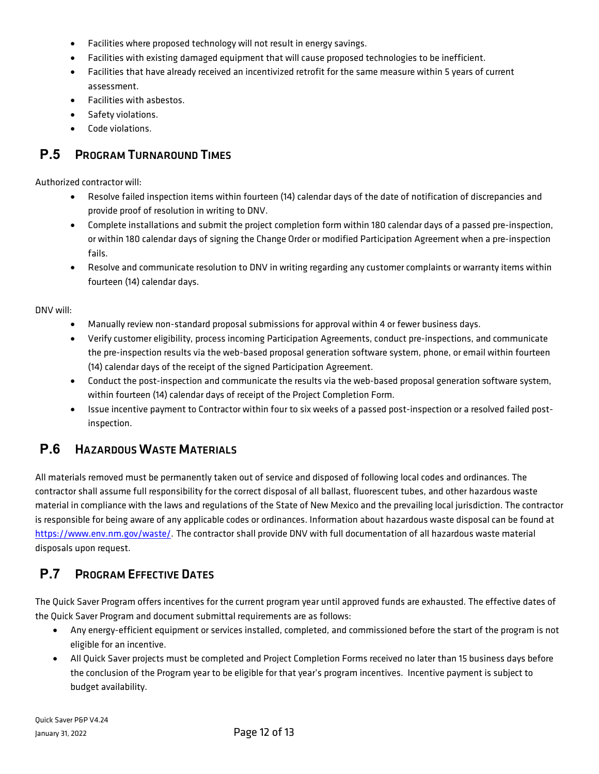- Facilities where proposed technology will not result in energy savings.
- Facilities with existing damaged equipment that will cause proposed technologies to be inefficient.
- Facilities that have already received an incentivized retrofit for the same measure within 5 years of current assessment.
- Facilities with asbestos.
- Safety violations.
- Code violations.

## <span id="page-11-0"></span>**P.5** PROGRAM TURNAROUND TIMES

Authorized contractor will:

- Resolve failed inspection items within fourteen (14) calendar days of the date of notification of discrepancies and provide proof of resolution in writing to DNV.
- Complete installations and submit the project completion form within 180 calendar days of a passed pre-inspection, or within 180 calendar days of signing the Change Order or modified Participation Agreement when a pre-inspection fails.
- Resolve and communicate resolution to DNV in writing regarding any customer complaints or warranty items within fourteen (14) calendar days.

DNV will:

- Manually review non-standard proposal submissions for approval within 4 or fewer business days.
- Verify customer eligibility, process incoming Participation Agreements, conduct pre-inspections, and communicate the pre-inspection results via the web-based proposal generation software system, phone, or email within fourteen (14) calendar days of the receipt of the signed Participation Agreement.
- Conduct the post-inspection and communicate the results via the web-based proposal generation software system, within fourteen (14) calendar days of receipt of the Project Completion Form.
- Issue incentive payment to Contractor within four to six weeks of a passed post-inspection or a resolved failed postinspection.

## <span id="page-11-1"></span>**P.6 HAZARDOUS WASTE MATERIALS**

All materials removed must be permanently taken out of service and disposed of following local codes and ordinances. The contractor shall assume full responsibility for the correct disposal of all ballast, fluorescent tubes, and other hazardous waste material in compliance with the laws and regulations of the State of New Mexico and the prevailing local jurisdiction. The contractor is responsible for being aware of any applicable codes or ordinances. Information about hazardous waste disposal can be found at [https://www.env.nm.gov/waste/.](https://www.env.nm.gov/waste/) The contractor shall provide DNV with full documentation of all hazardous waste material disposals upon request.

## <span id="page-11-2"></span>**P.7** PROGRAM EFFECTIVE DATES

The Quick Saver Program offers incentives for the current program year until approved funds are exhausted. The effective dates of the Quick Saver Program and document submittal requirements are as follows:

- Any energy-efficient equipment or services installed, completed, and commissioned before the start of the program is not eligible for an incentive.
- All Quick Saver projects must be completed and Project Completion Forms received no later than 15 business days before the conclusion of the Program year to be eligible for that year's program incentives. Incentive payment is subject to budget availability.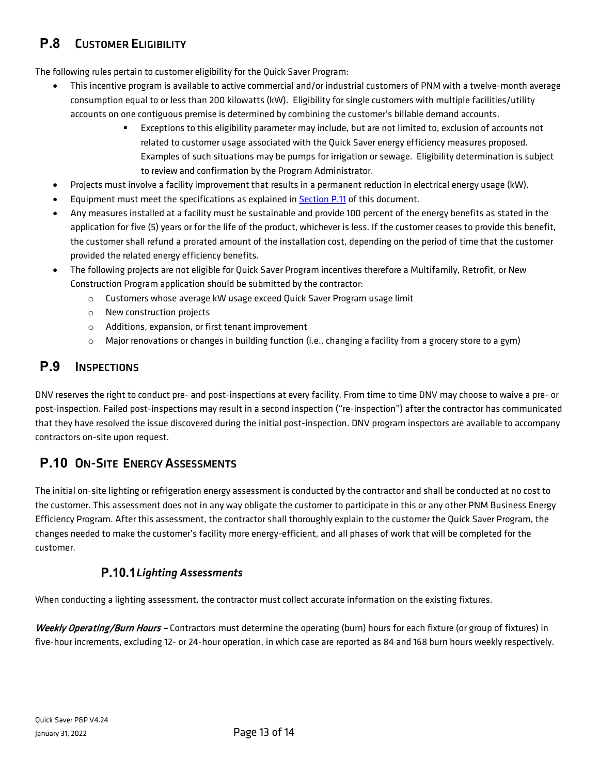## <span id="page-12-0"></span>**P.8** CUSTOMER ELIGIBILITY

The following rules pertain to customer eligibility for the Quick Saver Program:

- This incentive program is available to active commercial and/or industrial customers of PNM with a twelve-month average consumption equal to or less than 200 kilowatts (kW). Eligibility for single customers with multiple facilities/utility accounts on one contiguous premise is determined by combining the customer's billable demand accounts.
	- Exceptions to this eligibility parameter may include, but are not limited to, exclusion of accounts not related to customer usage associated with the Quick Saver energy efficiency measures proposed. Examples of such situations may be pumps for irrigation or sewage. Eligibility determination is subject to review and confirmation by the Program Administrator.
- Projects must involve a facility improvement that results in a permanent reduction in electrical energy usage (kW).
- Equipment must meet the specifications as explained i[n Section P.11](#page-14-0) of this document.
- Any measures installed at a facility must be sustainable and provide 100 percent of the energy benefits as stated in the application for five (5) years or for the life of the product, whichever is less. If the customer ceases to provide this benefit, the customer shall refund a prorated amount of the installation cost, depending on the period of time that the customer provided the related energy efficiency benefits.
- The following projects are not eligible for Quick Saver Program incentives therefore a Multifamily, Retrofit, or New Construction Program application should be submitted by the contractor:
	- o Customers whose average kW usage exceed Quick Saver Program usage limit
	- o New construction projects
	- o Additions, expansion, or first tenant improvement
	- $\circ$  Major renovations or changes in building function (i.e., changing a facility from a grocery store to a gym)

## <span id="page-12-1"></span>**P.9** INSPECTIONS

DNV reserves the right to conduct pre- and post-inspections at every facility. From time to time DNV may choose to waive a pre- or post-inspection. Failed post-inspections may result in a second inspection ("re-inspection") after the contractor has communicated that they have resolved the issue discovered during the initial post-inspection. DNV program inspectors are available to accompany contractors on-site upon request.

## <span id="page-12-2"></span>**P.10** ON-SITE ENERGY ASSESSMENTS

The initial on-site lighting or refrigeration energy assessment is conducted by the contractor and shall be conducted at no cost to the customer. This assessment does not in any way obligate the customer to participate in this or any other PNM Business Energy Efficiency Program. After this assessment, the contractor shall thoroughly explain to the customer the Quick Saver Program, the changes needed to make the customer's facility more energy-efficient, and all phases of work that will be completed for the customer.

### *Lighting Assessments*

<span id="page-12-3"></span>When conducting a lighting assessment, the contractor must collect accurate information on the existing fixtures.

Weekly Operating/Burn Hours - Contractors must determine the operating (burn) hours for each fixture (or group of fixtures) in five-hour increments, excluding 12- or 24-hour operation, in which case are reported as 84 and 168 burn hours weekly respectively.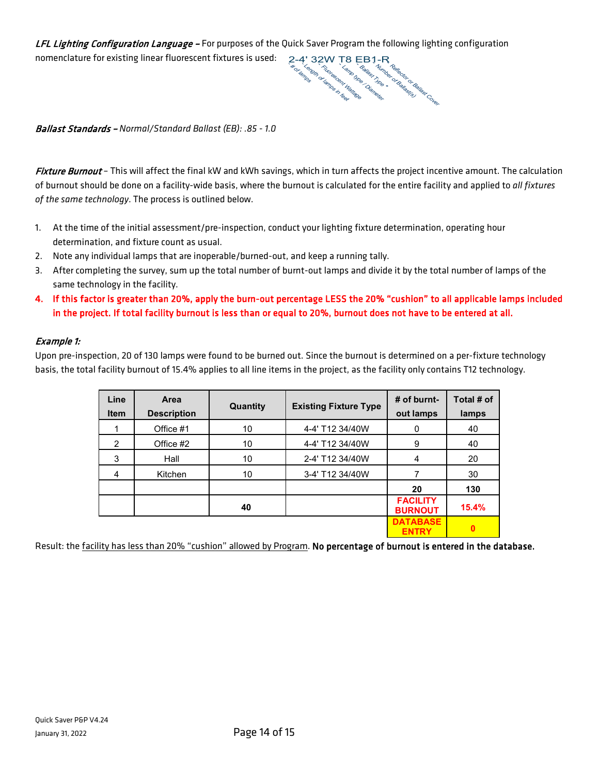LFL Lighting Configuration Language - For purposes of the Quick Saver Program the following lighting configuration nomenclature for existing linear fluorescent fixtures is used:



Ballast Standards – *Normal/Standard Ballast (EB): .85 - 1.0*

Fixture Burnout - This will affect the final kW and kWh savings, which in turn affects the project incentive amount. The calculation of burnout should be done on a facility-wide basis, where the burnout is calculated for the entire facility and applied to *all fixtures of the same technology*. The process is outlined below.

- 1. At the time of the initial assessment/pre-inspection, conduct your lighting fixture determination, operating hour determination, and fixture count as usual.
- 2. Note any individual lamps that are inoperable/burned-out, and keep a running tally.
- 3. After completing the survey, sum up the total number of burnt-out lamps and divide it by the total number of lamps of the same technology in the facility.
- 4. If this factor is greater than 20%, apply the burn-out percentage LESS the 20% "cushion" to all applicable lamps included in the project. If total facility burnout is less than or equal to 20%, burnout does not have to be entered at all.

#### Example 1:

Upon pre-inspection, 20 of 130 lamps were found to be burned out. Since the burnout is determined on a per-fixture technology basis, the total facility burnout of 15.4% applies to all line items in the project, as the facility only contains T12 technology.

| Line<br><b>Item</b> | Area<br><b>Description</b> | Quantity | <b>Existing Fixture Type</b> | # of burnt-<br>out lamps          | Total # of<br>lamps |
|---------------------|----------------------------|----------|------------------------------|-----------------------------------|---------------------|
|                     | Office #1                  | 10       | 4-4' T12 34/40W              | $\Omega$                          | 40                  |
| $\mathcal{P}$       | Office #2                  | 10       | 4-4' T12 34/40W              | 9                                 | 40                  |
| 3                   | Hall                       | 10       | 2-4' T12 34/40W              | 4                                 | 20                  |
| 4                   | Kitchen                    | 10       | 3-4' T12 34/40W              |                                   | 30                  |
|                     |                            |          |                              | 20                                | 130                 |
|                     |                            | 40       |                              | <b>FACILITY</b><br><b>BURNOUT</b> | 15.4%               |
|                     |                            |          |                              | <b>DATABASE</b><br><b>ENTRY</b>   |                     |

Result: the facility has less than 20% "cushion" allowed by Program. No percentage of burnout is entered in the database.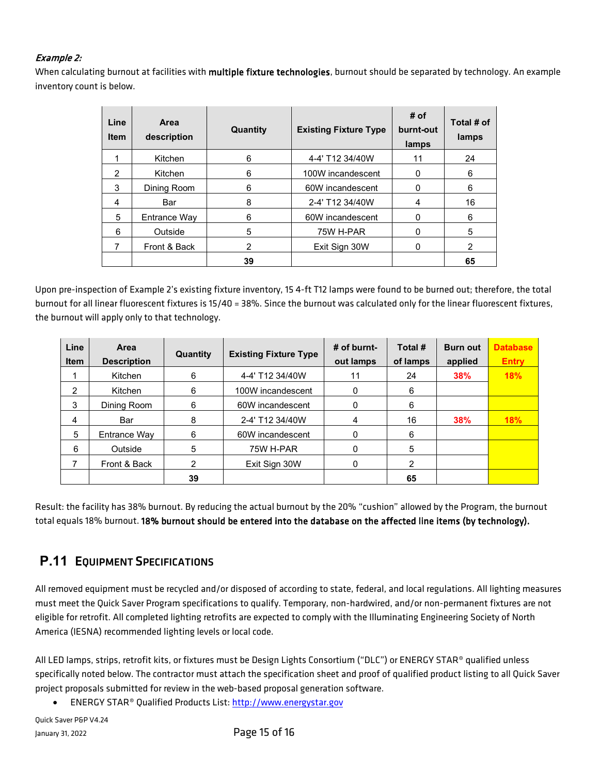#### Example 2:

When calculating burnout at facilities with multiple fixture technologies, burnout should be separated by technology. An example inventory count is below.

| Line<br><b>Item</b> | Area<br>description | Quantity | <b>Existing Fixture Type</b> | # of<br>burnt-out<br>lamps | Total # of<br>lamps |
|---------------------|---------------------|----------|------------------------------|----------------------------|---------------------|
|                     | Kitchen             | 6        | 4-4' T12 34/40W              | 11                         | 24                  |
| $\mathcal{P}$       | Kitchen             | 6        | 100W incandescent            |                            | 6                   |
| 3                   | Dining Room         | 6        | 60W incandescent             |                            | 6                   |
| 4                   | Bar                 | 8        | 2-4' T12 34/40W              | 4                          | 16                  |
| 5                   | Entrance Way        | 6        | 60W incandescent             |                            | 6                   |
| 6                   | Outside             | 5        | 75W H-PAR                    |                            | 5                   |
| 7                   | Front & Back        | 2        | Exit Sign 30W                |                            | 2                   |
|                     |                     | 39       |                              |                            | 65                  |

Upon pre-inspection of Example 2's existing fixture inventory, 15 4-ft T12 lamps were found to be burned out; therefore, the total burnout for all linear fluorescent fixtures is 15/40 = 38%. Since the burnout was calculated only for the linear fluorescent fixtures, the burnout will apply only to that technology.

| Line<br><b>Item</b> | Area<br><b>Description</b> | Quantity | <b>Existing Fixture Type</b> | $#$ of burnt-<br>out lamps | Total #<br>of lamps | <b>Burn out</b><br>applied | <b>Database</b><br><b>Entry</b> |
|---------------------|----------------------------|----------|------------------------------|----------------------------|---------------------|----------------------------|---------------------------------|
|                     | Kitchen                    | 6        | 4-4' T12 34/40W              | 11                         | 24                  | 38%                        | <b>18%</b>                      |
| 2                   | Kitchen                    | 6        | 100W incandescent            | 0                          | 6                   |                            |                                 |
| 3                   | Dining Room                | 6        | 60W incandescent             | 0                          | 6                   |                            |                                 |
| 4                   | Bar                        | 8        | 2-4' T12 34/40W              | 4                          | 16                  | <b>38%</b>                 | 18%                             |
| 5                   | Entrance Way               | 6        | 60W incandescent             | 0                          | 6                   |                            |                                 |
| 6                   | Outside                    | 5        | 75W H-PAR                    | 0                          | 5                   |                            |                                 |
|                     | Front & Back               | 2        | Exit Sign 30W                | 0                          | $\mathcal{P}$       |                            |                                 |
|                     |                            | 39       |                              |                            | 65                  |                            |                                 |

Result: the facility has 38% burnout. By reducing the actual burnout by the 20% "cushion" allowed by the Program, the burnout total equals 18% burnout. 18% burnout should be entered into the database on the affected line items (by technology).

## <span id="page-14-0"></span>**P.11 EQUIPMENT SPECIFICATIONS**

All removed equipment must be recycled and/or disposed of according to state, federal, and local regulations. All lighting measures must meet the Quick Saver Program specifications to qualify. Temporary, non-hardwired, and/or non-permanent fixtures are not eligible for retrofit. All completed lighting retrofits are expected to comply with the Illuminating Engineering Society of North America (IESNA) recommended lighting levels or local code.

All LED lamps, strips, retrofit kits, or fixtures must be Design Lights Consortium ("DLC") or ENERGY STAR® qualified unless specifically noted below. The contractor must attach the specification sheet and proof of qualified product listing to all Quick Saver project proposals submitted for review in the web-based proposal generation software.

• ENERGY STAR® Qualified Products List[: http://www.energystar.gov](http://www.energystar.gov/)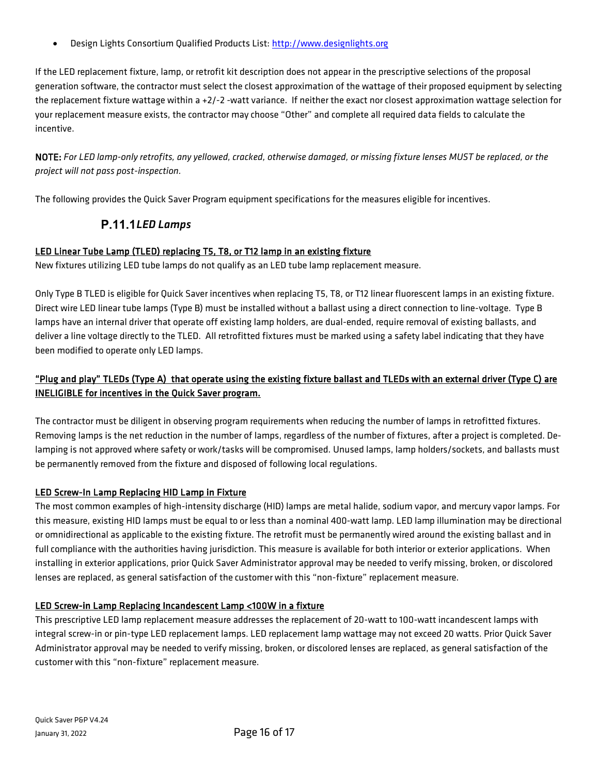• Design Lights Consortium Qualified Products List: [http://www.designlights.org](http://www.designlights.org/)

If the LED replacement fixture, lamp, or retrofit kit description does not appear in the prescriptive selections of the proposal generation software, the contractor must select the closest approximation of the wattage of their proposed equipment by selecting the replacement fixture wattage within a +2/-2 -watt variance. If neither the exact nor closest approximation wattage selection for your replacement measure exists, the contractor may choose "Other" and complete all required data fields to calculate the incentive.

NOTE: *For LED lamp-only retrofits, any yellowed, cracked, otherwise damaged, or missing fixture lenses MUST be replaced, or the project will not pass post-inspection.*

<span id="page-15-0"></span>The following provides the Quick Saver Program equipment specifications for the measures eligible for incentives.

#### *LED Lamps*

#### LED Linear Tube Lamp (TLED) replacing T5, T8, or T12 lamp in an existing fixture

New fixtures utilizing LED tube lamps do not qualify as an LED tube lamp replacement measure.

Only Type B TLED is eligible for Quick Saver incentives when replacing T5, T8, or T12 linear fluorescent lamps in an existing fixture. Direct wire LED linear tube lamps (Type B) must be installed without a ballast using a direct connection to line-voltage. Type B lamps have an internal driver that operate off existing lamp holders, are dual-ended, require removal of existing ballasts, and deliver a line voltage directly to the TLED. All retrofitted fixtures must be marked using a safety label indicating that they have been modified to operate only LED lamps.

#### "Plug and play" TLEDs (Type A) that operate using the existing fixture ballast and TLEDs with an external driver (Type C) are INELIGIBLE for incentives in the Quick Saver program.

The contractor must be diligent in observing program requirements when reducing the number of lamps in retrofitted fixtures. Removing lamps is the net reduction in the number of lamps, regardless of the number of fixtures, after a project is completed. Delamping is not approved where safety or work/tasks will be compromised. Unused lamps, lamp holders/sockets, and ballasts must be permanently removed from the fixture and disposed of following local regulations.

#### LED Screw-In Lamp Replacing HID Lamp in Fixture

The most common examples of high-intensity discharge (HID) lamps are metal halide, sodium vapor, and mercury vapor lamps. For this measure, existing HID lamps must be equal to or less than a nominal 400-watt lamp. LED lamp illumination may be directional or omnidirectional as applicable to the existing fixture. The retrofit must be permanently wired around the existing ballast and in full compliance with the authorities having jurisdiction. This measure is available for both interior or exterior applications. When installing in exterior applications, prior Quick Saver Administrator approval may be needed to verify missing, broken, or discolored lenses are replaced, as general satisfaction of the customer with this "non-fixture" replacement measure.

#### LED Screw-in Lamp Replacing Incandescent Lamp <100W in a fixture

This prescriptive LED lamp replacement measure addresses the replacement of 20-watt to 100-watt incandescent lamps with integral screw-in or pin-type LED replacement lamps. LED replacement lamp wattage may not exceed 20 watts. Prior Quick Saver Administrator approval may be needed to verify missing, broken, or discolored lenses are replaced, as general satisfaction of the customer with this "non-fixture" replacement measure.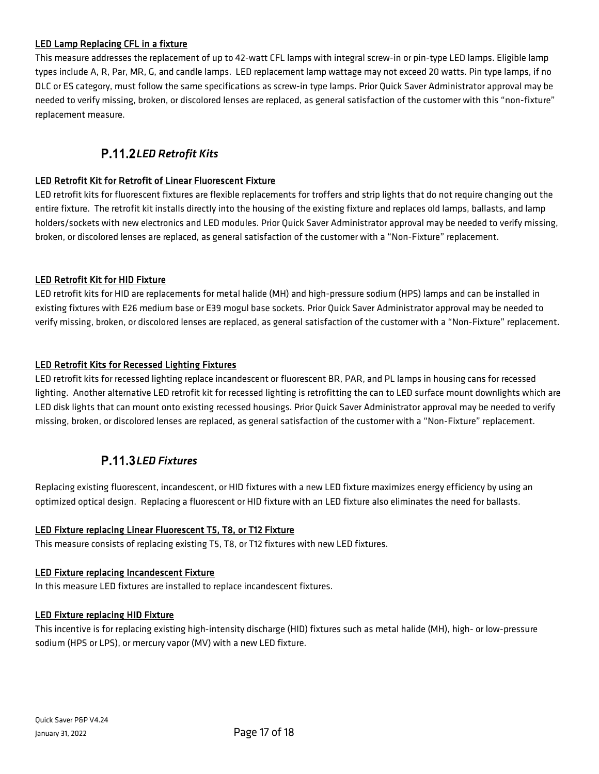#### LED Lamp Replacing CFL in a fixture

This measure addresses the replacement of up to 42-watt CFL lamps with integral screw-in or pin-type LED lamps. Eligible lamp types include A, R, Par, MR, G, and candle lamps. LED replacement lamp wattage may not exceed 20 watts. Pin type lamps, if no DLC or ES category, must follow the same specifications as screw-in type lamps. Prior Quick Saver Administrator approval may be needed to verify missing, broken, or discolored lenses are replaced, as general satisfaction of the customer with this "non-fixture" replacement measure.

### *LED Retrofit Kits*

#### <span id="page-16-0"></span>LED Retrofit Kit for Retrofit of Linear Fluorescent Fixture

LED retrofit kits for fluorescent fixtures are flexible replacements for troffers and strip lights that do not require changing out the entire fixture. The retrofit kit installs directly into the housing of the existing fixture and replaces old lamps, ballasts, and lamp holders/sockets with new electronics and LED modules. Prior Quick Saver Administrator approval may be needed to verify missing, broken, or discolored lenses are replaced, as general satisfaction of the customer with a "Non-Fixture" replacement.

#### LED Retrofit Kit for HID Fixture

LED retrofit kits for HID are replacements for metal halide (MH) and high-pressure sodium (HPS) lamps and can be installed in existing fixtures with E26 medium base or E39 mogul base sockets. Prior Quick Saver Administrator approval may be needed to verify missing, broken, or discolored lenses are replaced, as general satisfaction of the customer with a "Non-Fixture" replacement.

#### LED Retrofit Kits for Recessed Lighting Fixtures

LED retrofit kits for recessed lighting replace incandescent or fluorescent BR, PAR, and PL lamps in housing cans for recessed lighting. Another alternative LED retrofit kit for recessed lighting is retrofitting the can to LED surface mount downlights which are LED disk lights that can mount onto existing recessed housings. Prior Quick Saver Administrator approval may be needed to verify missing, broken, or discolored lenses are replaced, as general satisfaction of the customer with a "Non-Fixture" replacement.

### *LED Fixtures*

<span id="page-16-1"></span>Replacing existing fluorescent, incandescent, or HID fixtures with a new LED fixture maximizes energy efficiency by using an optimized optical design. Replacing a fluorescent or HID fixture with an LED fixture also eliminates the need for ballasts.

#### LED Fixture replacing Linear Fluorescent T5, T8, or T12 Fixture

This measure consists of replacing existing T5, T8, or T12 fixtures with new LED fixtures.

#### LED Fixture replacing Incandescent Fixture

In this measure LED fixtures are installed to replace incandescent fixtures.

#### LED Fixture replacing HID Fixture

This incentive is for replacing existing high-intensity discharge (HID) fixtures such as metal halide (MH), high- or low-pressure sodium (HPS or LPS), or mercury vapor (MV) with a new LED fixture.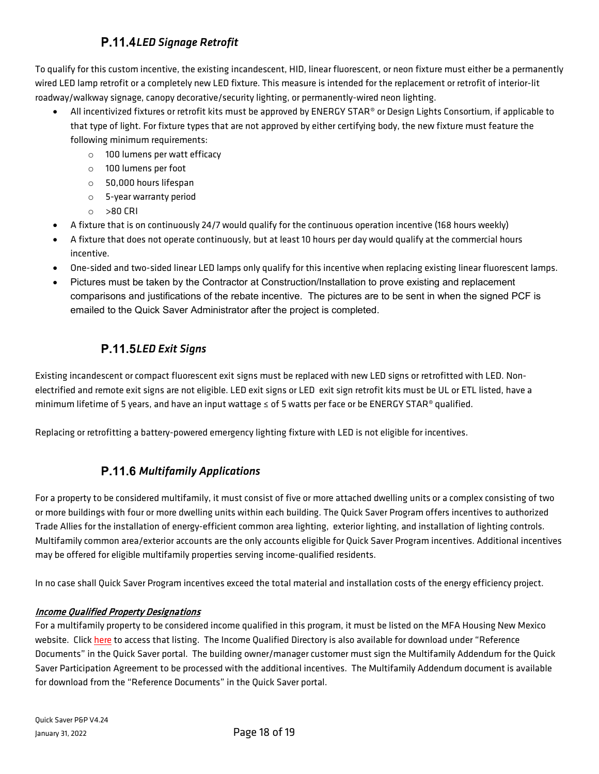## *LED Signage Retrofit*

<span id="page-17-0"></span>To qualify for this custom incentive, the existing incandescent, HID, linear fluorescent, or neon fixture must either be a permanently wired LED lamp retrofit or a completely new LED fixture. This measure is intended for the replacement or retrofit of interior-lit roadway/walkway signage, canopy decorative/security lighting, or permanently-wired neon lighting.

- All incentivized fixtures or retrofit kits must be approved by ENERGY STAR® or Design Lights Consortium, if applicable to that type of light. For fixture types that are not approved by either certifying body, the new fixture must feature the following minimum requirements:
	- o 100 lumens per watt efficacy
	- o 100 lumens per foot
	- o 50,000 hours lifespan
	- o 5-year warranty period
	- o >80 CRI
- A fixture that is on continuously 24/7 would qualify for the continuous operation incentive (168 hours weekly)
- A fixture that does not operate continuously, but at least 10 hours per day would qualify at the commercial hours incentive.
- One-sided and two-sided linear LED lamps only qualify for this incentive when replacing existing linear fluorescent lamps.
- Pictures must be taken by the Contractor at Construction/Installation to prove existing and replacement comparisons and justifications of the rebate incentive. The pictures are to be sent in when the signed PCF is emailed to the Quick Saver Administrator after the project is completed.

## *LED Exit Signs*

<span id="page-17-1"></span>Existing incandescent or compact fluorescent exit signs must be replaced with new LED signs or retrofitted with LED. Nonelectrified and remote exit signs are not eligible. LED exit signs or LED exit sign retrofit kits must be UL or ETL listed, have a minimum lifetime of 5 years, and have an input wattage ≤ of 5 watts per face or be ENERGY STAR® qualified.

Replacing or retrofitting a battery-powered emergency lighting fixture with LED is not eligible for incentives.

### <span id="page-17-2"></span>**P.11.6 Multifamily Applications**

For a property to be considered multifamily, it must consist of five or more attached dwelling units or a complex consisting of two or more buildings with four or more dwelling units within each building. The Quick Saver Program offers incentives to authorized Trade Allies for the installation of energy-efficient common area lighting, exterior lighting, and installation of lighting controls. Multifamily common area/exterior accounts are the only accounts eligible for Quick Saver Program incentives. Additional incentives may be offered for eligible multifamily properties serving income-qualified residents.

In no case shall Quick Saver Program incentives exceed the total material and installation costs of the energy efficiency project.

#### Income Qualified Property Designations

For a multifamily property to be considered income qualified in this program, it must be listed on the MFA Housing New Mexico website. Click [here](http://www.housingnm.org/renters/affordable-rental-properties) to access that listing. The Income Qualified Directory is also available for download under "Reference Documents" in the Quick Saver portal. The building owner/manager customer must sign the Multifamily Addendum for the Quick Saver Participation Agreement to be processed with the additional incentives. The Multifamily Addendum document is available for download from the "Reference Documents" in the Quick Saver portal.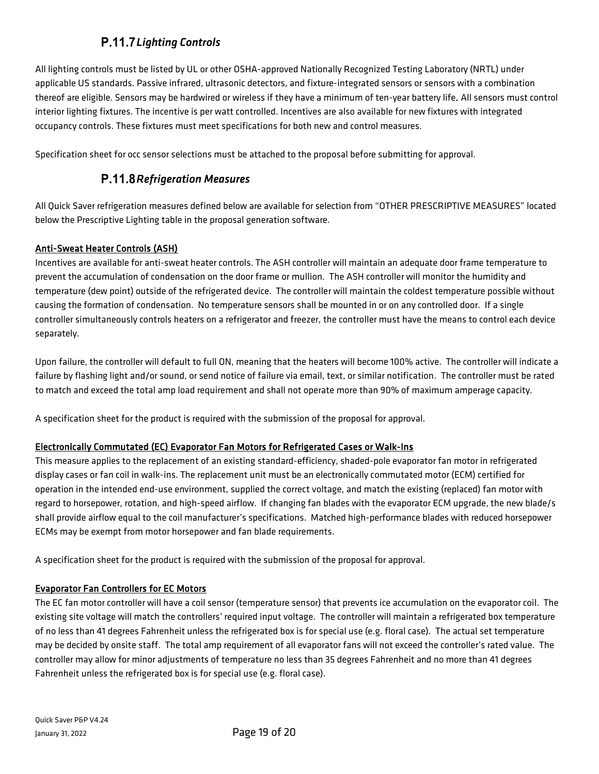## *Lighting Controls*

<span id="page-18-0"></span>All lighting controls must be listed by UL or other OSHA-approved Nationally Recognized Testing Laboratory (NRTL) under applicable US standards. Passive infrared, ultrasonic detectors, and fixture-integrated sensors or sensors with a combination thereof are eligible. Sensors may be hardwired or wireless if they have a minimum of ten-year battery life. All sensors must control interior lighting fixtures. The incentive is per watt controlled. Incentives are also available for new fixtures with integrated occupancy controls. These fixtures must meet specifications for both new and control measures.

<span id="page-18-1"></span>Specification sheet for occ sensor selections must be attached to the proposal before submitting for approval.

#### *Refrigeration Measures*

All Quick Saver refrigeration measures defined below are available for selection from "OTHER PRESCRIPTIVE MEASURES" located below the Prescriptive Lighting table in the proposal generation software.

#### Anti-Sweat Heater Controls (ASH)

Incentives are available for anti-sweat heater controls. The ASH controller will maintain an adequate door frame temperature to prevent the accumulation of condensation on the door frame or mullion. The ASH controller will monitor the humidity and temperature (dew point) outside of the refrigerated device. The controller will maintain the coldest temperature possible without causing the formation of condensation. No temperature sensors shall be mounted in or on any controlled door. If a single controller simultaneously controls heaters on a refrigerator and freezer, the controller must have the means to control each device separately.

Upon failure, the controller will default to full ON, meaning that the heaters will become 100% active. The controller will indicate a failure by flashing light and/or sound, or send notice of failure via email, text, or similar notification. The controller must be rated to match and exceed the total amp load requirement and shall not operate more than 90% of maximum amperage capacity.

A specification sheet for the product is required with the submission of the proposal for approval.

#### Electronically Commutated (EC) Evaporator Fan Motors for Refrigerated Cases or Walk-Ins

This measure applies to the replacement of an existing standard-efficiency, shaded-pole evaporator fan motor in refrigerated display cases or fan coil in walk-ins. The replacement unit must be an electronically commutated motor (ECM) certified for operation in the intended end-use environment, supplied the correct voltage, and match the existing (replaced) fan motor with regard to horsepower, rotation, and high-speed airflow. If changing fan blades with the evaporator ECM upgrade, the new blade/s shall provide airflow equal to the coil manufacturer's specifications. Matched high-performance blades with reduced horsepower ECMs may be exempt from motor horsepower and fan blade requirements.

A specification sheet for the product is required with the submission of the proposal for approval.

#### Evaporator Fan Controllers for EC Motors

The EC fan motor controller will have a coil sensor (temperature sensor) that prevents ice accumulation on the evaporator coil. The existing site voltage will match the controllers' required input voltage. The controller will maintain a refrigerated box temperature of no less than 41 degrees Fahrenheit unless the refrigerated box is for special use (e.g. floral case). The actual set temperature may be decided by onsite staff. The total amp requirement of all evaporator fans will not exceed the controller's rated value. The controller may allow for minor adjustments of temperature no less than 35 degrees Fahrenheit and no more than 41 degrees Fahrenheit unless the refrigerated box is for special use (e.g. floral case).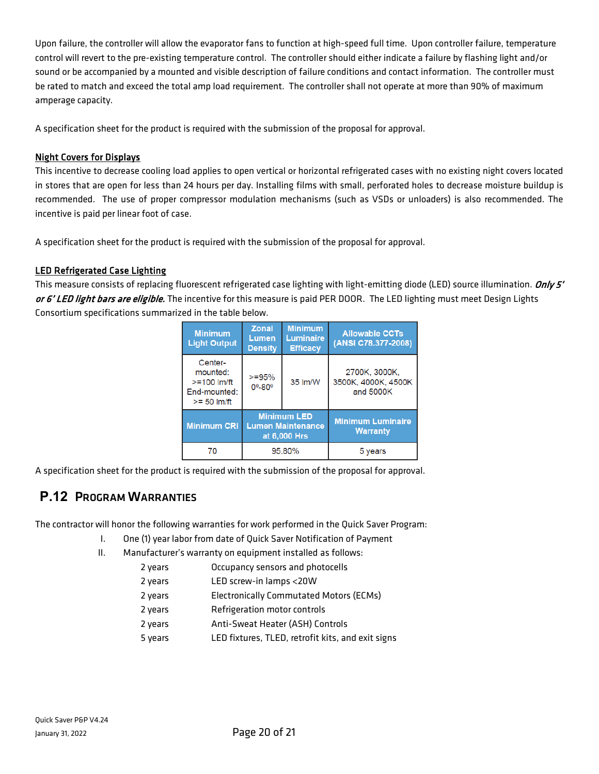Upon failure, the controller will allow the evaporator fans to function at high-speed full time. Upon controller failure, temperature control will revert to the pre-existing temperature control. The controller should either indicate a failure by flashing light and/or sound or be accompanied by a mounted and visible description of failure conditions and contact information. The controller must be rated to match and exceed the total amp load requirement. The controller shall not operate at more than 90% of maximum amperage capacity.

A specification sheet for the product is required with the submission of the proposal for approval.

#### Night Covers for Displays

This incentive to decrease cooling load applies to open vertical or horizontal refrigerated cases with no existing night covers located in stores that are open for less than 24 hours per day. Installing films with small, perforated holes to decrease moisture buildup is recommended. The use of proper compressor modulation mechanisms (such as VSDs or unloaders) is also recommended. The incentive is paid per linear foot of case.

A specification sheet for the product is required with the submission of the proposal for approval.

#### LED Refrigerated Case Lighting

This measure consists of replacing fluorescent refrigerated case lighting with light-emitting diode (LED) source illumination. Only 5' or 6' LED light bars are eligible. The incentive for this measure is paid PER DOOR. The LED lighting must meet Design Lights Consortium specifications summarized in the table below.

| <b>Minimum</b><br><b>Light Output</b>                                    | <b>Zonal</b><br>Lumen<br><b>Density</b>                        | <b>Minimum</b><br><b>Luminaire</b><br><b>Efficacy</b> | <b>Allowable CCTs</b><br>(ANSI C78.377-2008)      |
|--------------------------------------------------------------------------|----------------------------------------------------------------|-------------------------------------------------------|---------------------------------------------------|
| Center-<br>mounted:<br>$>= 100$ $Im/ft$<br>End-mounted:<br>$>= 50$ lm/ft | $>= 95%$<br>$0^{\circ} - 80^{\circ}$                           | 35 lm/W                                               | 2700K, 3000K,<br>3500K, 4000K, 4500K<br>and 5000K |
| <b>Minimum CRI</b>                                                       | <b>Minimum LED</b><br><b>Lumen Maintenance</b><br>at 6,000 Hrs |                                                       | <b>Minimum Luminaire</b><br><b>Warranty</b>       |
| 70                                                                       | 95.80%                                                         |                                                       | vears                                             |

<span id="page-19-0"></span>A specification sheet for the product is required with the submission of the proposal for approval.

## **P.12** PROGRAM WARRANTIES

The contractor will honor the following warranties for work performed in the Quick Saver Program:

- I. One (1) year labor from date of Quick Saver Notification of Payment
- II. Manufacturer's warranty on equipment installed as follows:
	- 2 years Occupancy sensors and photocells
	- 2 years LED screw-in lamps <20W
	- 2 years Electronically Commutated Motors (ECMs)
	- 2 years Refrigeration motor controls
	- 2 years Anti-Sweat Heater (ASH) Controls
	- 5 years LED fixtures, TLED, retrofit kits, and exit signs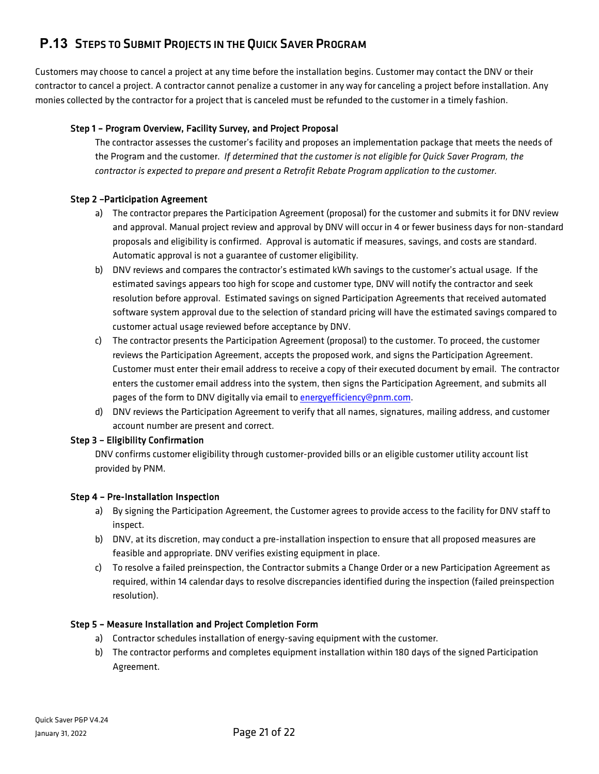## <span id="page-20-0"></span>**P.13** STEPS TO SUBMIT PROJECTS IN THE QUICK SAVER PROGRAM

Customers may choose to cancel a project at any time before the installation begins. Customer may contact the DNV or their contractor to cancel a project. A contractor cannot penalize a customer in any way for canceling a project before installation. Any monies collected by the contractor for a project that is canceled must be refunded to the customer in a timely fashion.

#### Step 1 – Program Overview, Facility Survey, and Project Proposal

The contractor assesses the customer's facility and proposes an implementation package that meets the needs of the Program and the customer. *If determined that the customer is not eligible for Quick Saver Program, the contractor is expected to prepare and present a Retrofit Rebate Program application to the customer.*

#### Step 2 –Participation Agreement

- a) The contractor prepares the Participation Agreement (proposal) for the customer and submits it for DNV review and approval. Manual project review and approval by DNV will occur in 4 or fewer business days for non-standard proposals and eligibility is confirmed. Approval is automatic if measures, savings, and costs are standard. Automatic approval is not a guarantee of customer eligibility.
- b) DNV reviews and compares the contractor's estimated kWh savings to the customer's actual usage. If the estimated savings appears too high for scope and customer type, DNV will notify the contractor and seek resolution before approval. Estimated savings on signed Participation Agreements that received automated software system approval due to the selection of standard pricing will have the estimated savings compared to customer actual usage reviewed before acceptance by DNV.
- c) The contractor presents the Participation Agreement (proposal) to the customer. To proceed, the customer reviews the Participation Agreement, accepts the proposed work, and signs the Participation Agreement. Customer must enter their email address to receive a copy of their executed document by email. The contractor enters the customer email address into the system, then signs the Participation Agreement, and submits all pages of the form to DNV digitally via email to [energyefficiency@pnm.com.](mailto:energyefficiency@pnm.com)
- d) DNV reviews the Participation Agreement to verify that all names, signatures, mailing address, and customer account number are present and correct.

#### Step 3 – Eligibility Confirmation

DNV confirms customer eligibility through customer-provided bills or an eligible customer utility account list provided by PNM.

#### Step 4 – Pre-Installation Inspection

- a) By signing the Participation Agreement, the Customer agrees to provide access to the facility for DNV staff to inspect.
- b) DNV, at its discretion, may conduct a pre-installation inspection to ensure that all proposed measures are feasible and appropriate. DNV verifies existing equipment in place.
- c) To resolve a failed preinspection, the Contractor submits a Change Order or a new Participation Agreement as required, within 14 calendar days to resolve discrepancies identified during the inspection (failed preinspection resolution).

#### Step 5 – Measure Installation and Project Completion Form

- a) Contractor schedules installation of energy-saving equipment with the customer.
- b) The contractor performs and completes equipment installation within 180 days of the signed Participation Agreement.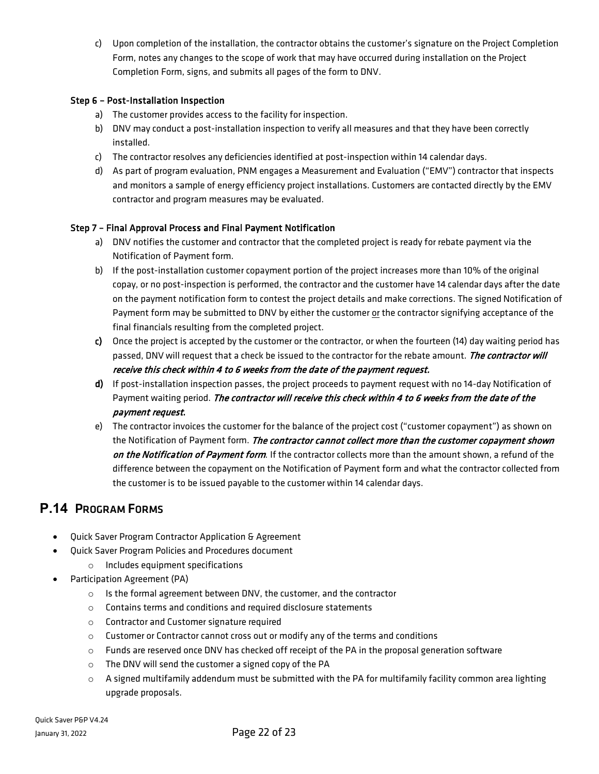c) Upon completion of the installation, the contractor obtains the customer's signature on the Project Completion Form, notes any changes to the scope of work that may have occurred during installation on the Project Completion Form, signs, and submits all pages of the form to DNV.

#### Step 6 – Post-Installation Inspection

- a) The customer provides access to the facility for inspection.
- b) DNV may conduct a post-installation inspection to verify all measures and that they have been correctly installed.
- c) The contractor resolves any deficiencies identified at post-inspection within 14 calendar days.
- d) As part of program evaluation, PNM engages a Measurement and Evaluation ("EMV") contractor that inspects and monitors a sample of energy efficiency project installations. Customers are contacted directly by the EMV contractor and program measures may be evaluated.

#### Step 7 – Final Approval Process and Final Payment Notification

- a) DNV notifies the customer and contractor that the completed project is ready for rebate payment via the Notification of Payment form.
- b) If the post-installation customer copayment portion of the project increases more than 10% of the original copay, or no post-inspection is performed, the contractor and the customer have 14 calendar days after the date on the payment notification form to contest the project details and make corrections. The signed Notification of Payment form may be submitted to DNV by either the customer or the contractor signifying acceptance of the final financials resulting from the completed project.
- c) Once the project is accepted by the customer or the contractor, or when the fourteen (14) day waiting period has passed, DNV will request that a check be issued to the contractor for the rebate amount. The contractor will receive this check within 4 to 6 weeks from the date of the payment request.
- d) If post-installation inspection passes, the project proceeds to payment request with no 14-day Notification of Payment waiting period. The contractor will receive this check within 4 to 6 weeks from the date of the payment request.
- e) The contractor invoices the customer for the balance of the project cost ("customer copayment") as shown on the Notification of Payment form. The contractor cannot collect more than the customer copayment shown on the Notification of Payment form*.* If the contractor collects more than the amount shown, a refund of the difference between the copayment on the Notification of Payment form and what the contractor collected from the customer is to be issued payable to the customer within 14 calendar days.

### <span id="page-21-0"></span>**P.14** PROGRAM FORMS

- Quick Saver Program Contractor Application & Agreement
- Quick Saver Program Policies and Procedures document
	- o Includes equipment specifications
- Participation Agreement (PA)
	- o Is the formal agreement between DNV, the customer, and the contractor
	- o Contains terms and conditions and required disclosure statements
	- o Contractor and Customer signature required
	- $\circ$  Customer or Contractor cannot cross out or modify any of the terms and conditions
	- $\circ$  Funds are reserved once DNV has checked off receipt of the PA in the proposal generation software
	- o The DNV will send the customer a signed copy of the PA
	- $\circ$  A signed multifamily addendum must be submitted with the PA for multifamily facility common area lighting upgrade proposals.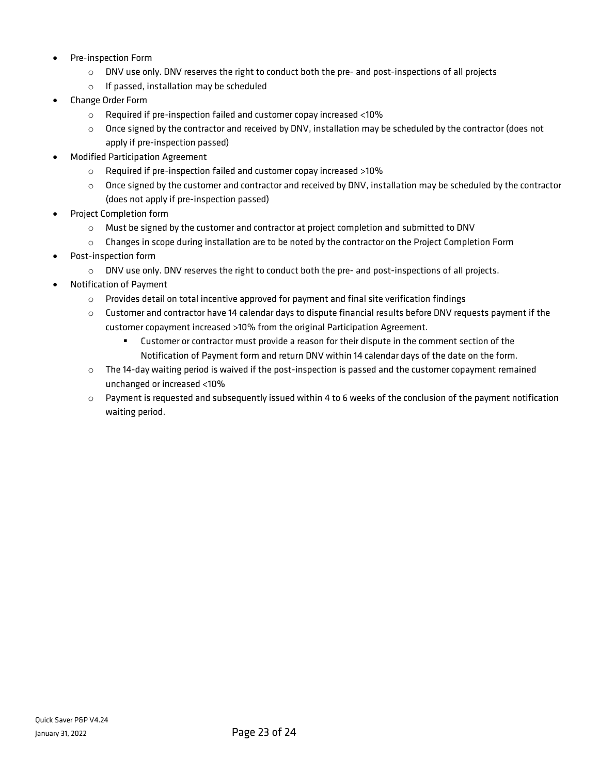- Pre-inspection Form
	- o DNV use only. DNV reserves the right to conduct both the pre- and post-inspections of all projects
	- o If passed, installation may be scheduled
- Change Order Form
	- o Required if pre-inspection failed and customer copay increased <10%
	- $\circ$  Once signed by the contractor and received by DNV, installation may be scheduled by the contractor (does not apply if pre-inspection passed)
- Modified Participation Agreement
	- o Required if pre-inspection failed and customer copay increased >10%
	- $\circ$  Once signed by the customer and contractor and received by DNV, installation may be scheduled by the contractor (does not apply if pre-inspection passed)
- Project Completion form
	- $\circ$  Must be signed by the customer and contractor at project completion and submitted to DNV
	- o Changes in scope during installation are to be noted by the contractor on the Project Completion Form
- Post-inspection form
	- $\circ$  DNV use only. DNV reserves the right to conduct both the pre- and post-inspections of all projects.
- Notification of Payment
	- $\circ$  Provides detail on total incentive approved for payment and final site verification findings
	- $\circ$  Customer and contractor have 14 calendar days to dispute financial results before DNV requests payment if the customer copayment increased >10% from the original Participation Agreement.
		- Customer or contractor must provide a reason for their dispute in the comment section of the Notification of Payment form and return DNV within 14 calendar days of the date on the form.
	- $\circ$  The 14-day waiting period is waived if the post-inspection is passed and the customer copayment remained unchanged or increased <10%
	- $\circ$  Payment is requested and subsequently issued within 4 to 6 weeks of the conclusion of the payment notification waiting period.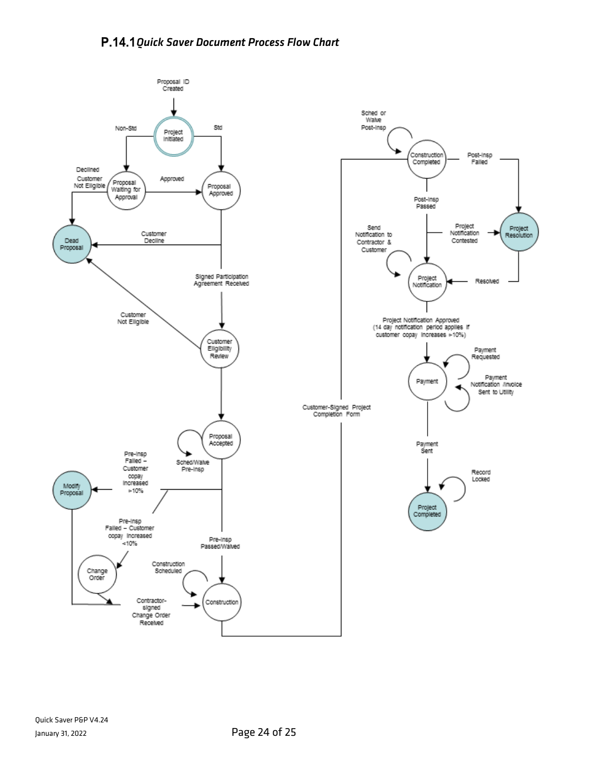<span id="page-23-0"></span>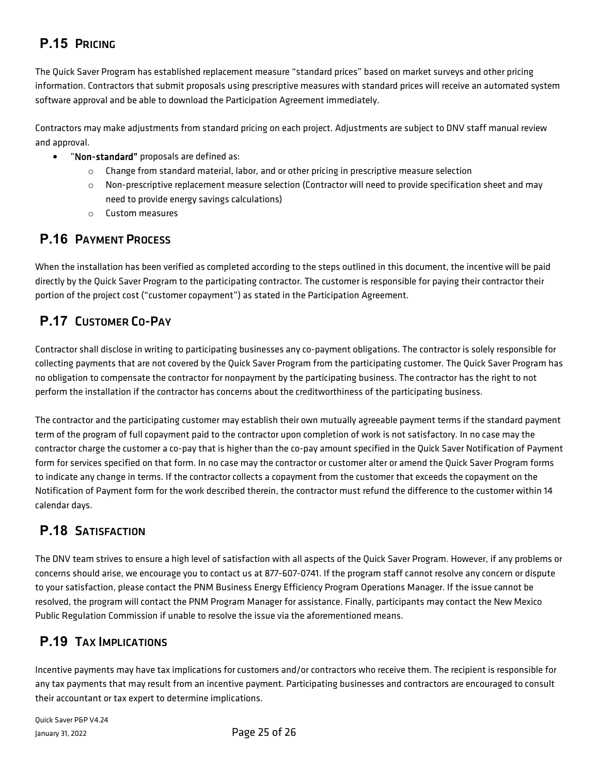## <span id="page-24-0"></span>**P.15** PRICING

The Quick Saver Program has established replacement measure "standard prices" based on market surveys and other pricing information. Contractors that submit proposals using prescriptive measures with standard prices will receive an automated system software approval and be able to download the Participation Agreement immediately.

Contractors may make adjustments from standard pricing on each project. Adjustments are subject to DNV staff manual review and approval.

- "Non-standard" proposals are defined as:
	- $\circ$  Change from standard material, labor, and or other pricing in prescriptive measure selection
	- $\circ$  Non-prescriptive replacement measure selection (Contractor will need to provide specification sheet and may need to provide energy savings calculations)
	- o Custom measures

## <span id="page-24-1"></span>**P.16** PAYMENT PROCESS

When the installation has been verified as completed according to the steps outlined in this document, the incentive will be paid directly by the Quick Saver Program to the participating contractor. The customer is responsible for paying their contractor their portion of the project cost ("customer copayment") as stated in the Participation Agreement.

## <span id="page-24-2"></span>**P.17** CUSTOMER CO-PAY

Contractor shall disclose in writing to participating businesses any co-payment obligations. The contractor is solely responsible for collecting payments that are not covered by the Quick Saver Program from the participating customer. The Quick Saver Program has no obligation to compensate the contractor for nonpayment by the participating business. The contractor has the right to not perform the installation if the contractor has concerns about the creditworthiness of the participating business.

The contractor and the participating customer may establish their own mutually agreeable payment terms if the standard payment term of the program of full copayment paid to the contractor upon completion of work is not satisfactory. In no case may the contractor charge the customer a co-pay that is higher than the co-pay amount specified in the Quick Saver Notification of Payment form for services specified on that form. In no case may the contractor or customer alter or amend the Quick Saver Program forms to indicate any change in terms. If the contractor collects a copayment from the customer that exceeds the copayment on the Notification of Payment form for the work described therein, the contractor must refund the difference to the customer within 14 calendar days.

## <span id="page-24-3"></span>**P.18** SATISFACTION

The DNV team strives to ensure a high level of satisfaction with all aspects of the Quick Saver Program. However, if any problems or concerns should arise, we encourage you to contact us at 877-607-0741. If the program staff cannot resolve any concern or dispute to your satisfaction, please contact the PNM Business Energy Efficiency Program Operations Manager. If the issue cannot be resolved, the program will contact the PNM Program Manager for assistance. Finally, participants may contact the New Mexico Public Regulation Commission if unable to resolve the issue via the aforementioned means.

## <span id="page-24-4"></span>**P.19** TAX IMPLICATIONS

Incentive payments may have tax implications for customers and/or contractors who receive them. The recipient is responsible for any tax payments that may result from an incentive payment. Participating businesses and contractors are encouraged to consult their accountant or tax expert to determine implications.

Quick Saver P&P V4.24 January 31, 2022 Page 25 of 26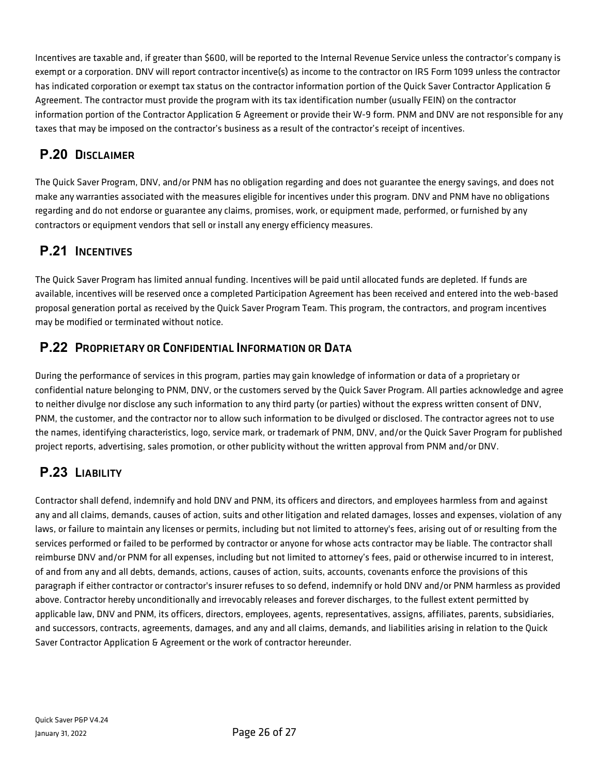Incentives are taxable and, if greater than \$600, will be reported to the Internal Revenue Service unless the contractor's company is exempt or a corporation. DNV will report contractor incentive(s) as income to the contractor on IRS Form 1099 unless the contractor has indicated corporation or exempt tax status on the contractor information portion of the Quick Saver Contractor Application & Agreement. The contractor must provide the program with its tax identification number (usually FEIN) on the contractor information portion of the Contractor Application & Agreement or provide their W-9 form. PNM and DNV are not responsible for any taxes that may be imposed on the contractor's business as a result of the contractor's receipt of incentives.

## <span id="page-25-0"></span>**P.20** DISCLAIMER

The Quick Saver Program, DNV, and/or PNM has no obligation regarding and does not guarantee the energy savings, and does not make any warranties associated with the measures eligible for incentives under this program. DNV and PNM have no obligations regarding and do not endorse or guarantee any claims, promises, work, or equipment made, performed, or furnished by any contractors or equipment vendors that sell or install any energy efficiency measures.

## <span id="page-25-1"></span>**P.21** INCENTIVES

The Quick Saver Program has limited annual funding. Incentives will be paid until allocated funds are depleted. If funds are available, incentives will be reserved once a completed Participation Agreement has been received and entered into the web-based proposal generation portal as received by the Quick Saver Program Team. This program, the contractors, and program incentives may be modified or terminated without notice.

## <span id="page-25-2"></span>**P.22** PROPRIETARY OR CONFIDENTIAL INFORMATION OR DATA

During the performance of services in this program, parties may gain knowledge of information or data of a proprietary or confidential nature belonging to PNM, DNV, or the customers served by the Quick Saver Program. All parties acknowledge and agree to neither divulge nor disclose any such information to any third party (or parties) without the express written consent of DNV, PNM, the customer, and the contractor nor to allow such information to be divulged or disclosed. The contractor agrees not to use the names, identifying characteristics, logo, service mark, or trademark of PNM, DNV, and/or the Quick Saver Program for published project reports, advertising, sales promotion, or other publicity without the written approval from PNM and/or DNV.

## <span id="page-25-3"></span>**P.23** LIABILITY

Contractor shall defend, indemnify and hold DNV and PNM, its officers and directors, and employees harmless from and against any and all claims, demands, causes of action, suits and other litigation and related damages, losses and expenses, violation of any laws, or failure to maintain any licenses or permits, including but not limited to attorney's fees, arising out of or resulting from the services performed or failed to be performed by contractor or anyone for whose acts contractor may be liable. The contractor shall reimburse DNV and/or PNM for all expenses, including but not limited to attorney's fees, paid or otherwise incurred to in interest, of and from any and all debts, demands, actions, causes of action, suits, accounts, covenants enforce the provisions of this paragraph if either contractor or contractor's insurer refuses to so defend, indemnify or hold DNV and/or PNM harmless as provided above. Contractor hereby unconditionally and irrevocably releases and forever discharges, to the fullest extent permitted by applicable law, DNV and PNM, its officers, directors, employees, agents, representatives, assigns, affiliates, parents, subsidiaries, and successors, contracts, agreements, damages, and any and all claims, demands, and liabilities arising in relation to the Quick Saver Contractor Application & Agreement or the work of contractor hereunder.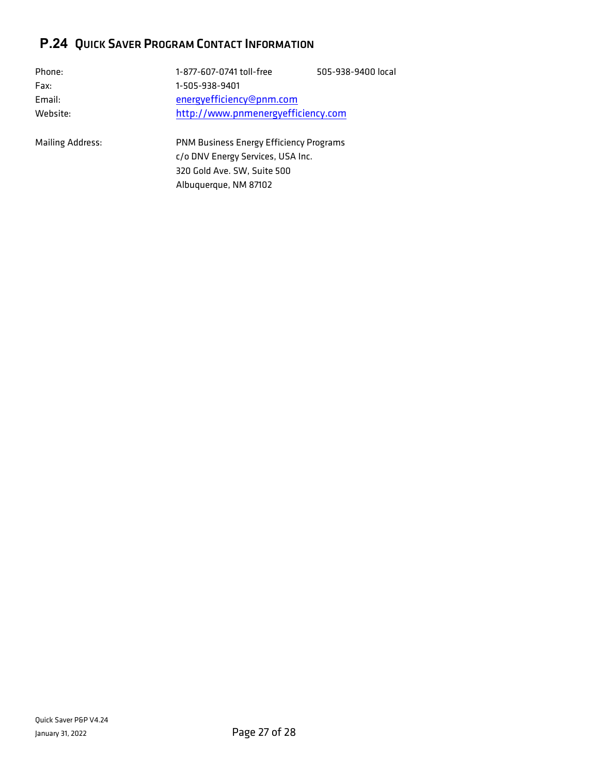## <span id="page-26-0"></span>**P.24** QUICK SAVER PROGRAM CONTACT INFORMATION

| Phone:                  | 1-877-607-0741 toll-free                | 505-938-9400 local |
|-------------------------|-----------------------------------------|--------------------|
| Fax:                    | 1-505-938-9401                          |                    |
| Email:                  | energyefficiency@pnm.com                |                    |
| Website:                | http://www.pnmenergyefficiency.com      |                    |
| <b>Mailing Address:</b> | PNM Business Energy Efficiency Programs |                    |
|                         | c/o DNV Energy Services, USA Inc.       |                    |
|                         | 320 Gold Ave. SW, Suite 500             |                    |

Albuquerque, NM 87102